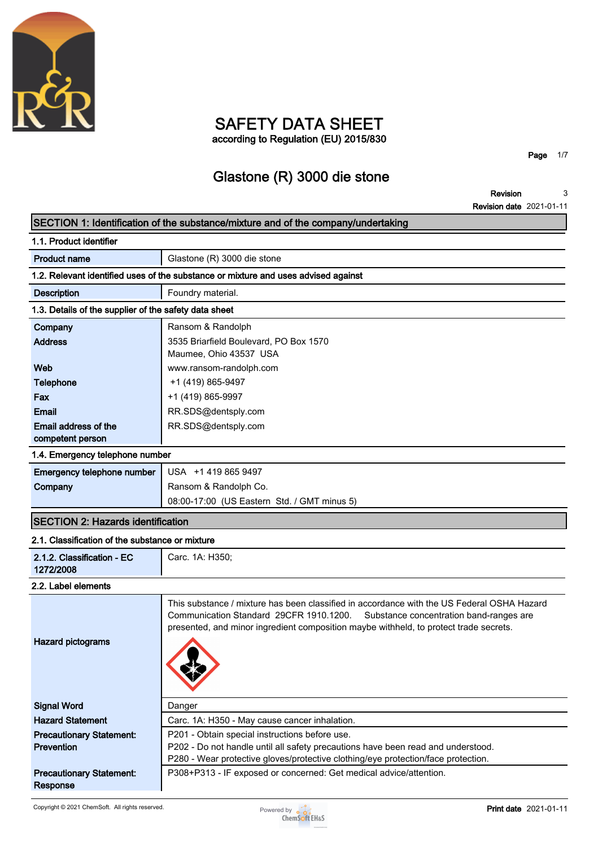

# **SAFETY DATA SHEET according to Regulation (EU) 2015/830**

**Page 1/7**

# **Glastone (R) 3000 die stone**

**Revision Revision date 2021-01-11 3**

# **SECTION 1: Identification of the substance/mixture and of the company/undertaking 1.1. Product identifier Product name Glastone (R)** 3000 die stone **1.2. Relevant identified uses of the substance or mixture and uses advised against Description Foundry material. 1.3. Details of the supplier of the safety data sheet Company Ransom & Randolph Address 3535 Briarfield Boulevard, PO Box 1570 Maumee, Ohio 43537 USA Web www.ransom-randolph.com Telephone**  $+1 (419) 865-9497$ **Fax +1 (419) 865-9997 Email RR.SDS@dentsply.com Email address of the competent person RR.SDS@dentsply.com 1.4. Emergency telephone number Emergency telephone number USA +1 419 865 9497 Company Ransom & Randolph Co. 08:00-17:00 (US Eastern Std. / GMT minus 5) SECTION 2: Hazards identification 2.1. Classification of the substance or mixture 2.1.2. Classification - EC 1272/2008 Carc. 1A: H350; 2.2. Label elements This substance / mixture has been classified in accordance with the US Federal OSHA Hazard Communication Standard 29CFR 1910.1200. Substance concentration band-ranges are presented, and minor ingredient composition maybe withheld, to protect trade secrets. Hazard pictograms Signal Word Danger Hazard Statement Carc. 1A: H350 - May cause cancer inhalation. Precautionary Statement: Prevention P201 - Obtain special instructions before use. P202 - Do not handle until all safety precautions have been read and understood. P280 - Wear protective gloves/protective clothing/eye protection/face protection. Precautionary Statement: Response P308+P313 - IF exposed or concerned: Get medical advice/attention.**

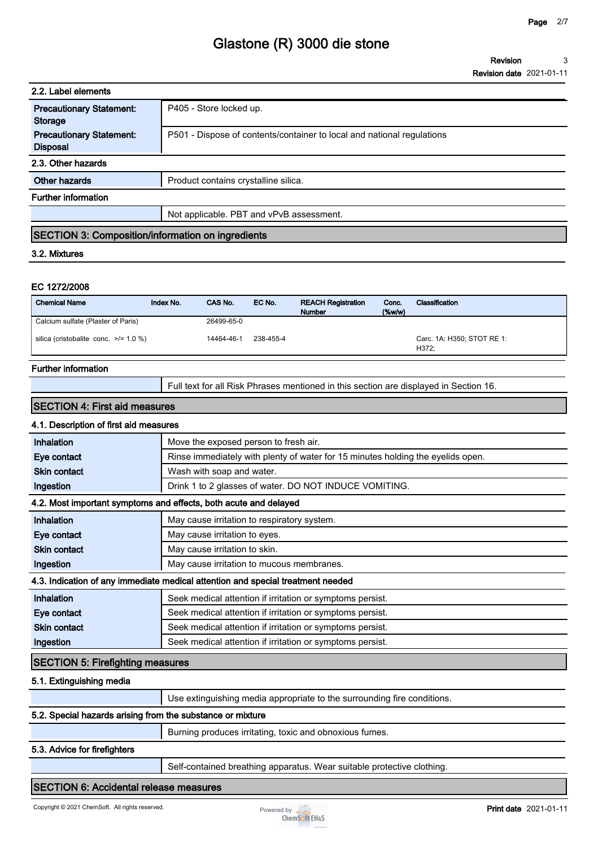| 2.2. Label elements                                      |                                                                        |  |
|----------------------------------------------------------|------------------------------------------------------------------------|--|
| <b>Precautionary Statement:</b><br><b>Storage</b>        | P405 - Store locked up.                                                |  |
| <b>Precautionary Statement:</b><br><b>Disposal</b>       | P501 - Dispose of contents/container to local and national regulations |  |
| 2.3. Other hazards                                       |                                                                        |  |
| Other hazards                                            | Product contains crystalline silica.                                   |  |
| <b>Further information</b>                               |                                                                        |  |
|                                                          | Not applicable. PBT and vPvB assessment.                               |  |
| <b>SECTION 3: Composition/information on ingredients</b> |                                                                        |  |
| 3.2. Mixtures                                            |                                                                        |  |
|                                                          |                                                                        |  |
| EC 1272/2008                                             |                                                                        |  |
|                                                          |                                                                        |  |

| <b>Chemical Name</b><br>Index No.          | CAS No.    | EC No.    | <b>REACH Registration</b><br><b>Number</b> | Conc.<br>(%w/w) | Classification                      |
|--------------------------------------------|------------|-----------|--------------------------------------------|-----------------|-------------------------------------|
| Calcium sulfate (Plaster of Paris)         | 26499-65-0 |           |                                            |                 |                                     |
| silica (cristobalite conc. $\ge$ /= 1.0 %) | 14464-46-1 | 238-455-4 |                                            |                 | Carc. 1A: H350: STOT RE 1:<br>H372: |

### **Further information**

**Full text for all Risk Phrases mentioned in this section are displayed in Section 16.**

### **SECTION 4: First aid measures**

# **4.1. Description of first aid measures**

| Inhalation                              | Move the exposed person to fresh air.                                           |  |
|-----------------------------------------|---------------------------------------------------------------------------------|--|
| Eye contact                             | Rinse immediately with plenty of water for 15 minutes holding the eyelids open. |  |
| <b>Skin contact</b>                     | Wash with soap and water.                                                       |  |
| Ingestion                               | Drink 1 to 2 glasses of water. DO NOT INDUCE VOMITING.                          |  |
|                                         | 4.2. Most important symptoms and effects, both acute and delayed                |  |
| Inhalation                              | May cause irritation to respiratory system.                                     |  |
| Eye contact                             | May cause irritation to eyes.                                                   |  |
| <b>Skin contact</b>                     | May cause irritation to skin.                                                   |  |
| Ingestion                               | May cause irritation to mucous membranes.                                       |  |
|                                         | 4.3. Indication of any immediate medical attention and special treatment needed |  |
| Inhalation                              | Seek medical attention if irritation or symptoms persist.                       |  |
| Eye contact                             | Seek medical attention if irritation or symptoms persist.                       |  |
| <b>Skin contact</b>                     | Seek medical attention if irritation or symptoms persist.                       |  |
| Ingestion                               | Seek medical attention if irritation or symptoms persist.                       |  |
| <b>SECTION 5: Firefighting measures</b> |                                                                                 |  |
|                                         |                                                                                 |  |

#### **5.1. Extinguishing media**

|                                                            | Use extinguishing media appropriate to the surrounding fire conditions. |
|------------------------------------------------------------|-------------------------------------------------------------------------|
| 5.2. Special hazards arising from the substance or mixture |                                                                         |
|                                                            | Burning produces irritating, toxic and obnoxious fumes.                 |

#### **5.3. Advice for firefighters**

**Self-contained breathing apparatus. Wear suitable protective clothing.**

### **SECTION 6: Accidental release measures**

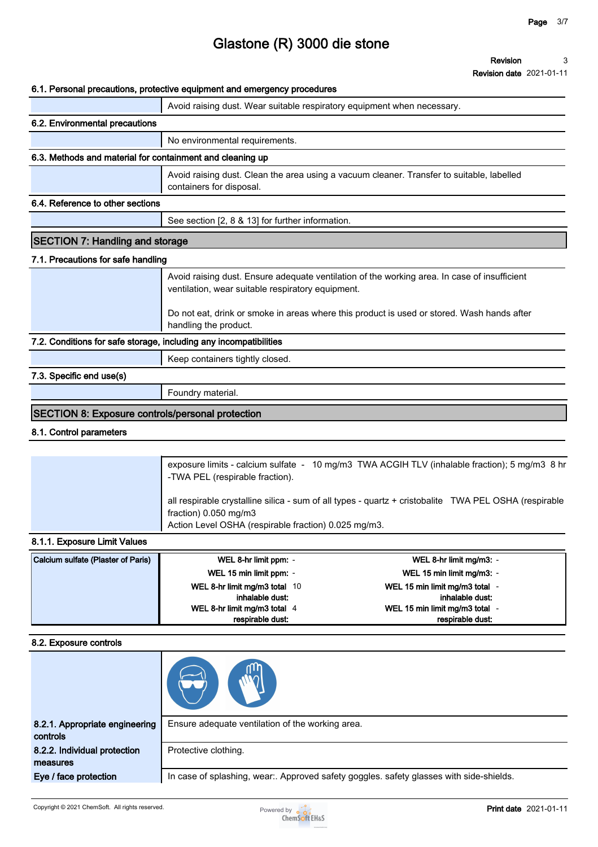**Revision date 2021-01-11**

### **6.1. Personal precautions, protective equipment and emergency procedures**

|                                                                   | o. i. Personal precaduons, protective equipment and emergency procedures                                                                          |
|-------------------------------------------------------------------|---------------------------------------------------------------------------------------------------------------------------------------------------|
|                                                                   | Avoid raising dust. Wear suitable respiratory equipment when necessary.                                                                           |
| 6.2. Environmental precautions                                    |                                                                                                                                                   |
|                                                                   | No environmental requirements.                                                                                                                    |
| 6.3. Methods and material for containment and cleaning up         |                                                                                                                                                   |
|                                                                   | Avoid raising dust. Clean the area using a vacuum cleaner. Transfer to suitable, labelled<br>containers for disposal.                             |
| 6.4. Reference to other sections                                  |                                                                                                                                                   |
|                                                                   | See section [2, 8 & 13] for further information.                                                                                                  |
| <b>SECTION 7: Handling and storage</b>                            |                                                                                                                                                   |
| 7.1. Precautions for safe handling                                |                                                                                                                                                   |
|                                                                   | Avoid raising dust. Ensure adequate ventilation of the working area. In case of insufficient<br>ventilation, wear suitable respiratory equipment. |
|                                                                   | Do not eat, drink or smoke in areas where this product is used or stored. Wash hands after<br>handling the product.                               |
| 7.2. Conditions for safe storage, including any incompatibilities |                                                                                                                                                   |
|                                                                   | Keep containers tightly closed.                                                                                                                   |
| 7.3. Specific end use(s)                                          |                                                                                                                                                   |
|                                                                   | Foundry material.                                                                                                                                 |
| <b>SECTION 8: Exposure controls/personal protection</b>           |                                                                                                                                                   |

### **8.1. Control parameters**

| all respirable crystalline silica - sum of all types - quartz + cristobalite TWA PEL OSHA (respirable<br>fraction) $0.050$ mg/m3<br>Action Level OSHA (respirable fraction) 0.025 mg/m3. | exposure limits - calcium sulfate - 10 mg/m3 TWA ACGIH TLV (inhalable fraction); 5 mg/m3 8 hr<br>-TWA PEL (respirable fraction). |
|------------------------------------------------------------------------------------------------------------------------------------------------------------------------------------------|----------------------------------------------------------------------------------------------------------------------------------|
|                                                                                                                                                                                          |                                                                                                                                  |

#### **8.1.1. Exposure Limit Values**

| Calcium sulfate (Plaster of Paris) | WEL 8-hr limit ppm: -         | WEL 8-hr limit mg/m3: -      |
|------------------------------------|-------------------------------|------------------------------|
|                                    | WEL 15 min limit ppm: -       | WEL 15 min limit mg/m3: -    |
|                                    | WEL 8-hr limit mg/m3 total 10 | WEL 15 min limit mg/m3 total |
|                                    | inhalable dust:               | inhalable dust:              |
|                                    | WEL 8-hr limit mg/m3 total 4  | WEL 15 min limit mg/m3 total |
|                                    | respirable dust:              | respirable dust:             |

#### **8.2. Exposure controls**

| 8.2.1. Appropriate engineering<br>controls | Ensure adequate ventilation of the working area.                                        |
|--------------------------------------------|-----------------------------------------------------------------------------------------|
| 8.2.2. Individual protection<br>measures   | Protective clothing.                                                                    |
| Eye / face protection                      | In case of splashing, wear:. Approved safety goggles. safety glasses with side-shields. |

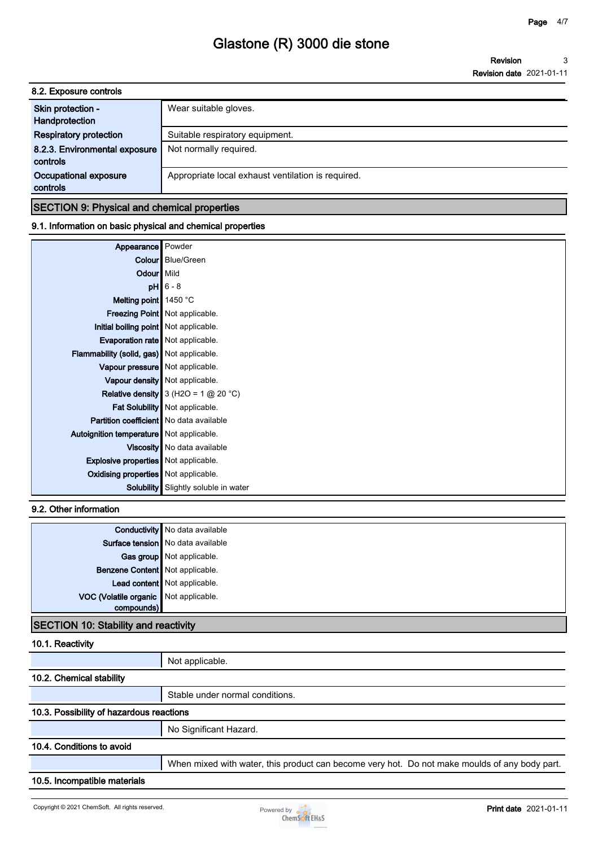**Revision Revision date 2021-01-11 3**

| 8.2. Exposure controls                    |                                                    |  |
|-------------------------------------------|----------------------------------------------------|--|
| Skin protection -<br>Handprotection       | Wear suitable gloves.                              |  |
| <b>Respiratory protection</b>             | Suitable respiratory equipment.                    |  |
| 8.2.3. Environmental exposure<br>controls | Not normally required.                             |  |
| Occupational exposure<br>controls         | Appropriate local exhaust ventilation is required. |  |
|                                           |                                                    |  |

### **SECTION 9: Physical and chemical properties**

## **9.1. Information on basic physical and chemical properties**

| Appearance                                     | Powder                                        |
|------------------------------------------------|-----------------------------------------------|
|                                                | <b>Colour</b> Blue/Green                      |
| Odour Mild                                     |                                               |
|                                                | $pH$ 6 - 8                                    |
| Melting point $\parallel$ 1450 °C              |                                               |
|                                                | <b>Freezing Point   Not applicable.</b>       |
| Initial boiling point   Not applicable.        |                                               |
| Evaporation rate   Not applicable.             |                                               |
| Flammability (solid, gas) Not applicable.      |                                               |
| Vapour pressure   Not applicable.              |                                               |
|                                                | Vapour density   Not applicable.              |
|                                                | <b>Relative density</b> 3 (H2O = 1 $@$ 20 °C) |
|                                                | Fat Solubility Not applicable.                |
| <b>Partition coefficient</b> No data available |                                               |
| Autoignition temperature Not applicable.       |                                               |
|                                                | Viscosity   No data available                 |
| <b>Explosive properties</b> Not applicable.    |                                               |
| Oxidising properties Not applicable.           |                                               |
| Solubility                                     | Slightly soluble in water                     |

## **9.2. Other information**

|                                       | <b>Conductivity</b> No data available |
|---------------------------------------|---------------------------------------|
|                                       | Surface tension   No data available   |
|                                       | Gas group Not applicable.             |
| Benzene Content   Not applicable.     |                                       |
|                                       | Lead content Not applicable.          |
| VOC (Volatile organic Not applicable. |                                       |
| compounds)                            |                                       |
|                                       |                                       |

# **SECTION 10: Stability and reactivity**

# **10.1. Reactivity**

|                                          | Not applicable.                                                                               |
|------------------------------------------|-----------------------------------------------------------------------------------------------|
| 10.2. Chemical stability                 |                                                                                               |
|                                          | Stable under normal conditions.                                                               |
| 10.3. Possibility of hazardous reactions |                                                                                               |
|                                          | No Significant Hazard.                                                                        |
| 10.4. Conditions to avoid                |                                                                                               |
|                                          | When mixed with water, this product can become very hot. Do not make moulds of any body part. |
| 10.5. Incompatible materials             |                                                                                               |
|                                          |                                                                                               |

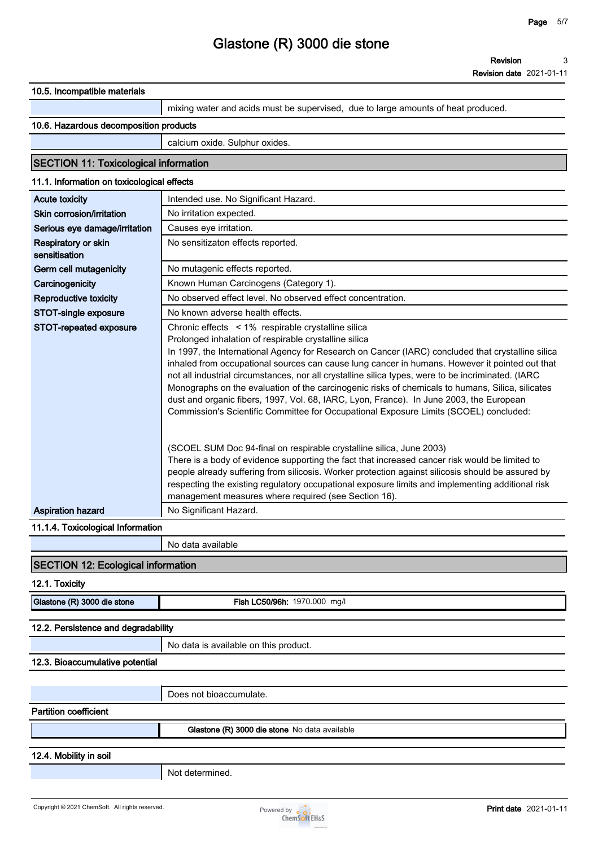**Revision date 2021-01-11**

| 10.5. Incompatible materials                                                                                                         |                                                                                                                                                                                                                                                                                                                                                                                                                                                                                                                                                                                                                                                                                                                                                                                                                                                                                                                                                                                                                                                                                                                                                                                                            |  |  |  |  |  |  |
|--------------------------------------------------------------------------------------------------------------------------------------|------------------------------------------------------------------------------------------------------------------------------------------------------------------------------------------------------------------------------------------------------------------------------------------------------------------------------------------------------------------------------------------------------------------------------------------------------------------------------------------------------------------------------------------------------------------------------------------------------------------------------------------------------------------------------------------------------------------------------------------------------------------------------------------------------------------------------------------------------------------------------------------------------------------------------------------------------------------------------------------------------------------------------------------------------------------------------------------------------------------------------------------------------------------------------------------------------------|--|--|--|--|--|--|
|                                                                                                                                      | mixing water and acids must be supervised, due to large amounts of heat produced.                                                                                                                                                                                                                                                                                                                                                                                                                                                                                                                                                                                                                                                                                                                                                                                                                                                                                                                                                                                                                                                                                                                          |  |  |  |  |  |  |
| 10.6. Hazardous decomposition products                                                                                               |                                                                                                                                                                                                                                                                                                                                                                                                                                                                                                                                                                                                                                                                                                                                                                                                                                                                                                                                                                                                                                                                                                                                                                                                            |  |  |  |  |  |  |
|                                                                                                                                      |                                                                                                                                                                                                                                                                                                                                                                                                                                                                                                                                                                                                                                                                                                                                                                                                                                                                                                                                                                                                                                                                                                                                                                                                            |  |  |  |  |  |  |
|                                                                                                                                      | calcium oxide. Sulphur oxides.                                                                                                                                                                                                                                                                                                                                                                                                                                                                                                                                                                                                                                                                                                                                                                                                                                                                                                                                                                                                                                                                                                                                                                             |  |  |  |  |  |  |
| <b>SECTION 11: Toxicological information</b>                                                                                         |                                                                                                                                                                                                                                                                                                                                                                                                                                                                                                                                                                                                                                                                                                                                                                                                                                                                                                                                                                                                                                                                                                                                                                                                            |  |  |  |  |  |  |
| 11.1. Information on toxicological effects                                                                                           |                                                                                                                                                                                                                                                                                                                                                                                                                                                                                                                                                                                                                                                                                                                                                                                                                                                                                                                                                                                                                                                                                                                                                                                                            |  |  |  |  |  |  |
| <b>Acute toxicity</b>                                                                                                                | Intended use. No Significant Hazard.                                                                                                                                                                                                                                                                                                                                                                                                                                                                                                                                                                                                                                                                                                                                                                                                                                                                                                                                                                                                                                                                                                                                                                       |  |  |  |  |  |  |
| Skin corrosion/irritation                                                                                                            | No irritation expected.                                                                                                                                                                                                                                                                                                                                                                                                                                                                                                                                                                                                                                                                                                                                                                                                                                                                                                                                                                                                                                                                                                                                                                                    |  |  |  |  |  |  |
| Serious eye damage/irritation                                                                                                        | Causes eye irritation.                                                                                                                                                                                                                                                                                                                                                                                                                                                                                                                                                                                                                                                                                                                                                                                                                                                                                                                                                                                                                                                                                                                                                                                     |  |  |  |  |  |  |
| Respiratory or skin<br>sensitisation                                                                                                 | No sensitizaton effects reported.                                                                                                                                                                                                                                                                                                                                                                                                                                                                                                                                                                                                                                                                                                                                                                                                                                                                                                                                                                                                                                                                                                                                                                          |  |  |  |  |  |  |
| Germ cell mutagenicity                                                                                                               | No mutagenic effects reported.                                                                                                                                                                                                                                                                                                                                                                                                                                                                                                                                                                                                                                                                                                                                                                                                                                                                                                                                                                                                                                                                                                                                                                             |  |  |  |  |  |  |
| Carcinogenicity                                                                                                                      | Known Human Carcinogens (Category 1).                                                                                                                                                                                                                                                                                                                                                                                                                                                                                                                                                                                                                                                                                                                                                                                                                                                                                                                                                                                                                                                                                                                                                                      |  |  |  |  |  |  |
| Reproductive toxicity                                                                                                                | No observed effect level. No observed effect concentration.                                                                                                                                                                                                                                                                                                                                                                                                                                                                                                                                                                                                                                                                                                                                                                                                                                                                                                                                                                                                                                                                                                                                                |  |  |  |  |  |  |
| STOT-single exposure                                                                                                                 | No known adverse health effects.                                                                                                                                                                                                                                                                                                                                                                                                                                                                                                                                                                                                                                                                                                                                                                                                                                                                                                                                                                                                                                                                                                                                                                           |  |  |  |  |  |  |
| STOT-repeated exposure<br><b>Aspiration hazard</b><br>11.1.4. Toxicological Information<br><b>SECTION 12: Ecological information</b> | Chronic effects < 1% respirable crystalline silica<br>Prolonged inhalation of respirable crystalline silica<br>In 1997, the International Agency for Research on Cancer (IARC) concluded that crystalline silica<br>inhaled from occupational sources can cause lung cancer in humans. However it pointed out that<br>not all industrial circumstances, nor all crystalline silica types, were to be incriminated. (IARC<br>Monographs on the evaluation of the carcinogenic risks of chemicals to humans, Silica, silicates<br>dust and organic fibers, 1997, Vol. 68, IARC, Lyon, France). In June 2003, the European<br>Commission's Scientific Committee for Occupational Exposure Limits (SCOEL) concluded:<br>(SCOEL SUM Doc 94-final on respirable crystalline silica, June 2003)<br>There is a body of evidence supporting the fact that increased cancer risk would be limited to<br>people already suffering from silicosis. Worker protection against silicosis should be assured by<br>respecting the existing regulatory occupational exposure limits and implementing additional risk<br>management measures where required (see Section 16).<br>No Significant Hazard.<br>No data available |  |  |  |  |  |  |
|                                                                                                                                      |                                                                                                                                                                                                                                                                                                                                                                                                                                                                                                                                                                                                                                                                                                                                                                                                                                                                                                                                                                                                                                                                                                                                                                                                            |  |  |  |  |  |  |
| 12.1. Toxicity                                                                                                                       |                                                                                                                                                                                                                                                                                                                                                                                                                                                                                                                                                                                                                                                                                                                                                                                                                                                                                                                                                                                                                                                                                                                                                                                                            |  |  |  |  |  |  |
| Glastone (R) 3000 die stone                                                                                                          | Fish LC50/96h: 1970.000 mg/l                                                                                                                                                                                                                                                                                                                                                                                                                                                                                                                                                                                                                                                                                                                                                                                                                                                                                                                                                                                                                                                                                                                                                                               |  |  |  |  |  |  |
| 12.2. Persistence and degradability                                                                                                  |                                                                                                                                                                                                                                                                                                                                                                                                                                                                                                                                                                                                                                                                                                                                                                                                                                                                                                                                                                                                                                                                                                                                                                                                            |  |  |  |  |  |  |
|                                                                                                                                      | No data is available on this product.                                                                                                                                                                                                                                                                                                                                                                                                                                                                                                                                                                                                                                                                                                                                                                                                                                                                                                                                                                                                                                                                                                                                                                      |  |  |  |  |  |  |
| 12.3. Bioaccumulative potential                                                                                                      |                                                                                                                                                                                                                                                                                                                                                                                                                                                                                                                                                                                                                                                                                                                                                                                                                                                                                                                                                                                                                                                                                                                                                                                                            |  |  |  |  |  |  |
|                                                                                                                                      |                                                                                                                                                                                                                                                                                                                                                                                                                                                                                                                                                                                                                                                                                                                                                                                                                                                                                                                                                                                                                                                                                                                                                                                                            |  |  |  |  |  |  |
|                                                                                                                                      | Does not bioaccumulate.                                                                                                                                                                                                                                                                                                                                                                                                                                                                                                                                                                                                                                                                                                                                                                                                                                                                                                                                                                                                                                                                                                                                                                                    |  |  |  |  |  |  |
| <b>Partition coefficient</b>                                                                                                         |                                                                                                                                                                                                                                                                                                                                                                                                                                                                                                                                                                                                                                                                                                                                                                                                                                                                                                                                                                                                                                                                                                                                                                                                            |  |  |  |  |  |  |
|                                                                                                                                      | Glastone (R) 3000 die stone No data available                                                                                                                                                                                                                                                                                                                                                                                                                                                                                                                                                                                                                                                                                                                                                                                                                                                                                                                                                                                                                                                                                                                                                              |  |  |  |  |  |  |
|                                                                                                                                      |                                                                                                                                                                                                                                                                                                                                                                                                                                                                                                                                                                                                                                                                                                                                                                                                                                                                                                                                                                                                                                                                                                                                                                                                            |  |  |  |  |  |  |
| 12.4. Mobility in soil                                                                                                               |                                                                                                                                                                                                                                                                                                                                                                                                                                                                                                                                                                                                                                                                                                                                                                                                                                                                                                                                                                                                                                                                                                                                                                                                            |  |  |  |  |  |  |
|                                                                                                                                      | Not determined.                                                                                                                                                                                                                                                                                                                                                                                                                                                                                                                                                                                                                                                                                                                                                                                                                                                                                                                                                                                                                                                                                                                                                                                            |  |  |  |  |  |  |
|                                                                                                                                      |                                                                                                                                                                                                                                                                                                                                                                                                                                                                                                                                                                                                                                                                                                                                                                                                                                                                                                                                                                                                                                                                                                                                                                                                            |  |  |  |  |  |  |
|                                                                                                                                      |                                                                                                                                                                                                                                                                                                                                                                                                                                                                                                                                                                                                                                                                                                                                                                                                                                                                                                                                                                                                                                                                                                                                                                                                            |  |  |  |  |  |  |

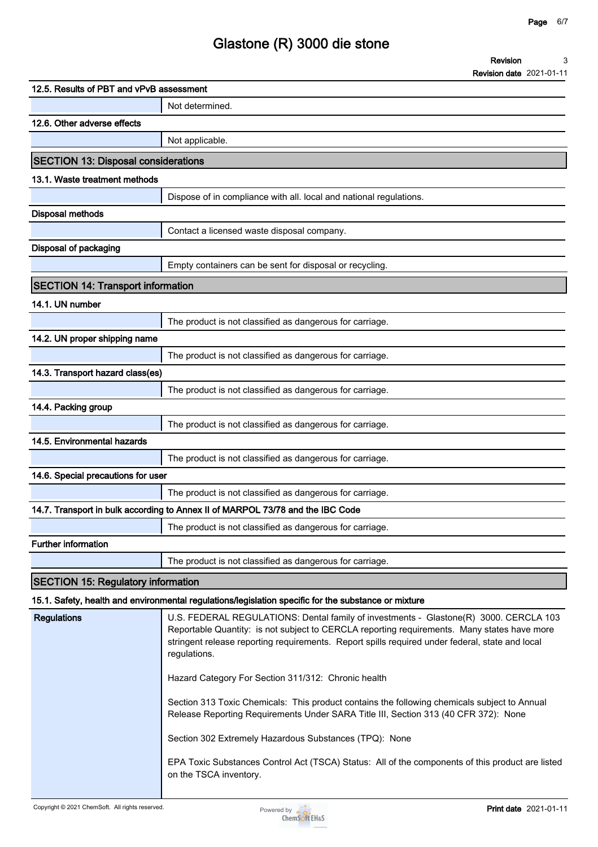|                          | <b>Revision</b> |           |  |  |
|--------------------------|-----------------|-----------|--|--|
| $\overline{\phantom{0}}$ |                 | --------- |  |  |

| 12.5. Results of PBT and vPvB assessment                                                                                                                                                                                                                                                                                      |
|-------------------------------------------------------------------------------------------------------------------------------------------------------------------------------------------------------------------------------------------------------------------------------------------------------------------------------|
| Not determined.                                                                                                                                                                                                                                                                                                               |
| 12.6. Other adverse effects                                                                                                                                                                                                                                                                                                   |
| Not applicable.                                                                                                                                                                                                                                                                                                               |
| <b>SECTION 13: Disposal considerations</b>                                                                                                                                                                                                                                                                                    |
| 13.1. Waste treatment methods                                                                                                                                                                                                                                                                                                 |
| Dispose of in compliance with all. local and national regulations.                                                                                                                                                                                                                                                            |
| <b>Disposal methods</b>                                                                                                                                                                                                                                                                                                       |
| Contact a licensed waste disposal company.                                                                                                                                                                                                                                                                                    |
| Disposal of packaging                                                                                                                                                                                                                                                                                                         |
| Empty containers can be sent for disposal or recycling.                                                                                                                                                                                                                                                                       |
| <b>SECTION 14: Transport information</b>                                                                                                                                                                                                                                                                                      |
| 14.1. UN number                                                                                                                                                                                                                                                                                                               |
| The product is not classified as dangerous for carriage.                                                                                                                                                                                                                                                                      |
| 14.2. UN proper shipping name                                                                                                                                                                                                                                                                                                 |
| The product is not classified as dangerous for carriage.                                                                                                                                                                                                                                                                      |
| 14.3. Transport hazard class(es)                                                                                                                                                                                                                                                                                              |
| The product is not classified as dangerous for carriage.                                                                                                                                                                                                                                                                      |
| 14.4. Packing group                                                                                                                                                                                                                                                                                                           |
| The product is not classified as dangerous for carriage.                                                                                                                                                                                                                                                                      |
| 14.5. Environmental hazards                                                                                                                                                                                                                                                                                                   |
| The product is not classified as dangerous for carriage.                                                                                                                                                                                                                                                                      |
| 14.6. Special precautions for user                                                                                                                                                                                                                                                                                            |
| The product is not classified as dangerous for carriage.                                                                                                                                                                                                                                                                      |
| 14.7. Transport in bulk according to Annex II of MARPOL 73/78 and the IBC Code                                                                                                                                                                                                                                                |
| The product is not classified as dangerous for carriage.                                                                                                                                                                                                                                                                      |
| <b>Further information</b>                                                                                                                                                                                                                                                                                                    |
| The product is not classified as dangerous for carriage.                                                                                                                                                                                                                                                                      |
| <b>SECTION 15: Regulatory information</b>                                                                                                                                                                                                                                                                                     |
| 15.1. Safety, health and environmental regulations/legislation specific for the substance or mixture                                                                                                                                                                                                                          |
| <b>Regulations</b><br>U.S. FEDERAL REGULATIONS: Dental family of investments - Glastone(R) 3000. CERCLA 103<br>Reportable Quantity: is not subject to CERCLA reporting requirements. Many states have more<br>stringent release reporting requirements. Report spills required under federal, state and local<br>regulations. |
| Hazard Category For Section 311/312: Chronic health                                                                                                                                                                                                                                                                           |
| Section 313 Toxic Chemicals: This product contains the following chemicals subject to Annual<br>Release Reporting Requirements Under SARA Title III, Section 313 (40 CFR 372): None                                                                                                                                           |
| Section 302 Extremely Hazardous Substances (TPQ): None                                                                                                                                                                                                                                                                        |

**EPA Toxic Substances Control Act (TSCA) Status: All of the components of this product are listed on the TSCA inventory.**